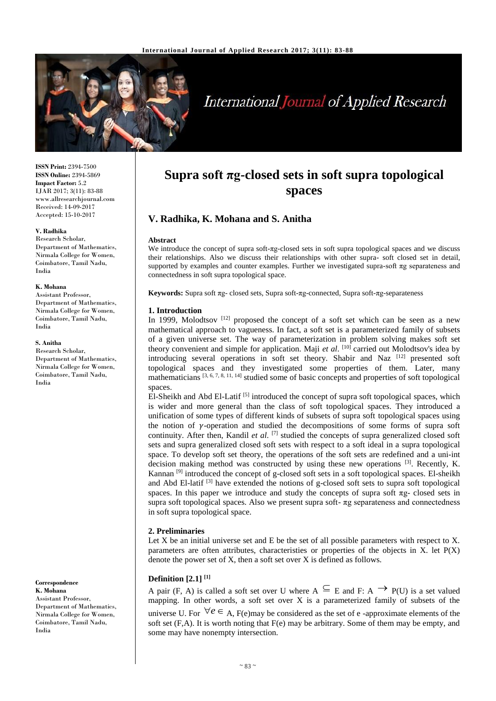

# International Journal of Applied Research

**ISSN Print:** 2394-7500 **ISSN Online:** 2394-5869 **Impact Factor:** 5.2 IJAR 2017; 3(11): 83-88 www.allresearchjournal.com Received: 14-09-2017 Accepted: 15-10-2017

#### **V. Radhika**

Research Scholar, Department of Mathematics, Nirmala College for Women, Coimbatore, Tamil Nadu, India

#### **K. Mohana**

Assistant Professor, Department of Mathematics, Nirmala College for Women, Coimbatore, Tamil Nadu, India

#### **S. Anitha**

Research Scholar, Department of Mathematics, Nirmala College for Women, Coimbatore, Tamil Nadu, India

**Correspondence**

**K. Mohana** Assistant Professor, Department of Mathematics, Nirmala College for Women, Coimbatore, Tamil Nadu, India

## **Supra soft πg-closed sets in soft supra topological spaces**

## **V. Radhika, K. Mohana and S. Anitha**

#### **Abstract**

We introduce the concept of supra soft-πg-closed sets in soft supra topological spaces and we discuss their relationships. Also we discuss their relationships with other supra- soft closed set in detail, supported by examples and counter examples. Further we investigated supra-soft  $\pi$ g separateness and connectedness in soft supra topological space.

**Keywords:** Supra soft πg- closed sets, Supra soft-πg-connected, Supra soft-πg-separateness

#### **1. Introduction**

In 1999, Molodtsov  $[12]$  proposed the concept of a soft set which can be seen as a new mathematical approach to vagueness. In fact, a soft set is a parameterized family of subsets of a given universe set. The way of parameterization in problem solving makes soft set theory convenient and simple for application. Maji *et al*. [10] carried out Molodtsov's idea by introducing several operations in soft set theory. Shabir and Naz [12] presented soft topological spaces and they investigated some properties of them. Later, many mathematicians [3, 6, 7, 8, 11, 14] studied some of basic concepts and properties of soft topological spaces.

 $E$ l-Sheikh and Abd El-Latif<sup>[5]</sup> introduced the concept of supra soft topological spaces, which is wider and more general than the class of soft topological spaces. They introduced a unification of some types of different kinds of subsets of supra soft topological spaces using the notion of  $\nu$ -operation and studied the decompositions of some forms of supra soft continuity. After then, Kandil *et al*. [7] studied the concepts of supra generalized closed soft sets and supra generalized closed soft sets with respect to a soft ideal in a supra topological space. To develop soft set theory, the operations of the soft sets are redefined and a uni-int decision making method was constructed by using these new operations [3]. Recently, K. Kannan <sup>[9]</sup> introduced the concept of g-closed soft sets in a soft topological spaces. El-sheikh and Abd El-latif  $[3]$  have extended the notions of g-closed soft sets to supra soft topological spaces. In this paper we introduce and study the concepts of supra soft  $\pi$ g-closed sets in supra soft topological spaces. Also we present supra soft- $\pi$ g separateness and connectedness in soft supra topological space.

#### **2. Preliminaries**

Let X be an initial universe set and E be the set of all possible parameters with respect to X. parameters are often attributes, characteristies or properties of the objects in  $X$ . let  $P(X)$ denote the power set of X, then a soft set over X is defined as follows.

## **Definition [2.1] [1]**

A pair (F, A) is called a soft set over U where  $A \subseteq E$  and F:  $A \longrightarrow P(U)$  is a set valued mapping. In other words, a soft set over  $X$  is a parameterized family of subsets of the universe U. For  $\forall e \in A$ , F(e)may be considered as the set of e-approximate elements of the soft set  $(F,A)$ . It is worth noting that  $F(e)$  may be arbitrary. Some of them may be empty, and some may have nonempty intersection.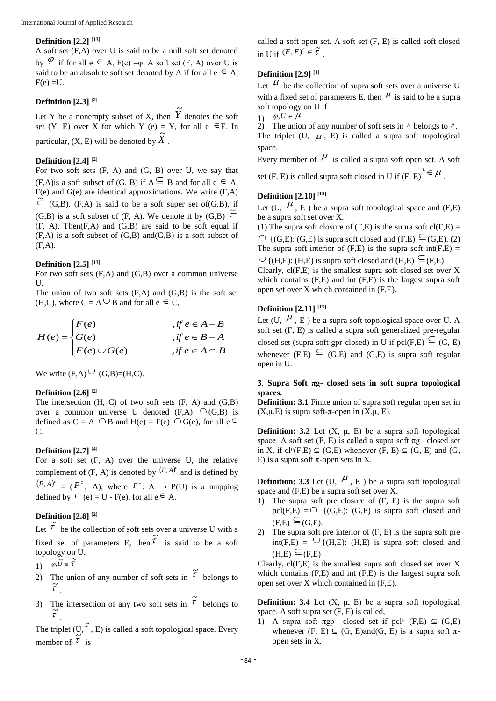## **Definition [2.2] [13]**

A soft set (F,A) over U is said to be a null soft set denoted by  $\emptyset$  if for all  $e \in A$ ,  $F(e) = \varphi$ . A soft set  $(F, A)$  over U is said to be an absolute soft set denoted by A if for all  $e \in A$ ,  $F(e) = U$ .

## **Definition [2.3] [2]**

Let Y be a nonempty subset of X, then  $\widetilde{Y}$ denotes the soft set (Y, E) over X for which Y (e) = Y, for all  $e \in E$ . In particular,  $(X, E)$  will be denoted by  $\widetilde{X}$  .

#### **Definition [2.4] [2]**

For two soft sets  $(F, A)$  and  $(G, B)$  over U, we say that  $(F,A)$  is a soft subset of  $(G, B)$  if  $A \subseteq B$  and for all  $e \in A$ ,  $F(e)$  and  $G(e)$  are identical approximations. We write  $(F, A)$  $\tilde{\subset}$  (G,B). (F,A) is said to be a soft super set of(G,B), if  $(G,B)$  is a soft subset of  $(F, A)$ . We denote it by  $(G,B) \subseteq$  $(F, A)$ . Then $(F, A)$  and  $(G, B)$  are said to be soft equal if  $(F,A)$  is a soft subset of  $(G,B)$  and  $(G,B)$  is a soft subset of (F,A).

## **Definition [2.5] [13]**

For two soft sets (F,A) and (G,B) over a common universe U.

The union of two soft sets (F,A) and (G,B) is the soft set (H,C), where  $C = A \cup B$  and for all  $e \in C$ ,

$$
H(e) = \begin{cases} F(e) & , if \ e \in A - B \\ G(e) & , if \ e \in B - A \\ F(e) \cup G(e) & , if \ e \in A \cap B \end{cases}
$$

We write  $(F,A) \cup (G,B)=H,C$ .

#### **Definition [2.6] [2]**

The intersection (H, C) of two soft sets (F, A) and (G,B) over a common universe U denoted  $(F,A)$   $\cap$   $(G,B)$  is defined as  $C = A \cap B$  and  $H(e) = F(e) \cap G(e)$ , for all  $e \in$ C.

## **Definition [2.7] [4]**

For a soft set (F, A) over the universe U, the relative complement of  $(F, A)$  is denoted by  $(F, A)^c$  and is defined by  $(F, A)^c = (F^c, A)$ , where  $F^c$ : A  $\rightarrow$  P(U) is a mapping defined by  $F^c$  (e) = U - F(e), for all  $e \in A$ .

## **Definition [2.8] [2]**

Let  $\tilde{\tau}$  be the collection of soft sets over a universe U with a fixed set of parameters E, then  $\tilde{t}$  is said to be a soft topology on U.

1) 
$$
\varphi, \overline{U} \in \mathcal{T}
$$

- 2) The union of any number of soft sets in  $\tilde{\tau}$  belongs to  $\widetilde{\tau}$  .
- 3) The intersection of any two soft sets in  $\tilde{\tau}$  belongs to τ .

The triplet (U,  $\tilde{\tau}$ , E) is called a soft topological space. Every member of  $\tilde{\tau}$  is

called a soft open set. A soft set (F, E) is called soft closed in U if  $(F, E)^c \in \tilde{\tau}$ .

## **Definition [2.9] [1]**

Let  $\mu$  be the collection of supra soft sets over a universe U with a fixed set of parameters E, then  $\mu$  is said to be a supra soft topology on  $\overrightarrow{U}$  if

1)  $\varphi, U \in \mu$ 

2) The union of any number of soft sets in  $\mu$  belongs to  $\mu$ .

The triplet (U,  $\mu$ , E) is called a supra soft topological space.

Every member of  $\mu$  is called a supra soft open set. A soft

set (F, E) is called supra soft closed in U if (F, E)<sup>c</sup>  $\in \mu$ .

## **Definition [2.10] [15]**

Let (U,  $^{\mu}$ , E) be a supra soft topological space and (F,E) be a supra soft set over X.

(1) The supra soft closure of  $(F,E)$  is the supra soft cl $(F,E)$  =  $\cap$  {(G,E): (G,E) is supra soft closed and (F,E)  $\subseteq$  (G,E). (2) The supra soft interior of  $(F,E)$  is the supra soft int $(F,E)$  =  $\cup$  {(H,E): (H,E) is supra soft closed and (H,E)  $\subseteq$  (F,E)

Clearly, cl(F,E) is the smallest supra soft closed set over X which contains  $(F,E)$  and int  $(F,E)$  is the largest supra soft open set over X which contained in (F,E).

## **Definition [2.11] [15]**

Let (U,  $^{\mu}$ , E) be a supra soft topological space over U. A soft set (F, E) is called a supra soft generalized pre-regular closed set (supra soft gpr-closed) in U if pcl(F,E)  $\subseteq$  (G, E) whenever  $(F,E) \subseteq (G,E)$  and  $(G,E)$  is supra soft regular open in U.

## **3**. **Supra Soft πg- closed sets in soft supra topological spaces.**

**Definition: 3.1** Finite union of supra soft regular open set in  $(X,\mu,E)$  is supra soft- $\pi$ -open in  $(X,\mu,E)$ .

**Definition: 3.2** Let  $(X, \mu, E)$  be a supra soft topological space. A soft set  $(F, E)$  is called a supra soft  $\pi g$ – closed set in X, if  $cl^{\mu}(F,E) \subseteq (G,E)$  whenever  $(F, E) \subseteq (G, E)$  and  $(G,$ E) is a supra soft  $\pi$ -open sets in X.

**Definition: 3.3** Let  $(U, \mathcal{H}, E)$  be a supra soft topological space and  $(F,E)$  be a supra soft set over X.

- 1) The supra soft pre closure of (F, E) is the supra soft pcl(F,E) =  $\cap$  {(G,E): (G,E) is supra soft closed and  $(F,E) \subseteq (G,E).$
- 2) The supra soft pre interior of (F, E) is the supra soft pre  $int(F,E) = \bigcup \{(H,E): (H,E)$  is supra soft closed and  $(H,E) \subseteqq (F,E)$

Clearly,  $cl(F,E)$  is the smallest supra soft closed set over X which contains (F,E) and int (F,E) is the largest supra soft open set over X which contained in (F,E).

**Definition: 3.4** Let  $(X, \mu, E)$  be a supra soft topological space. A soft supra set (F, E) is called,

1) A supra soft  $\pi gp$ – closed set if pcl<sup>μ</sup> (F,E)  $\subseteq$  (G,E) whenever  $(F, E) \subseteq (G, E)$  and  $(G, E)$  is a supra soft  $\pi$ open sets in X.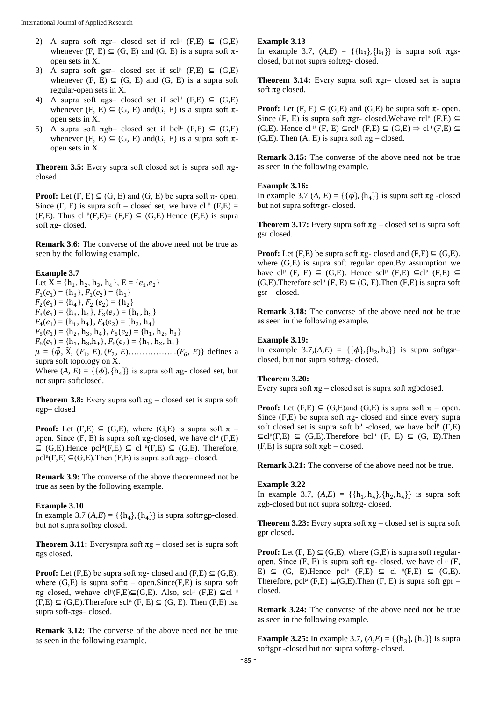- 2) A supra soft  $\pi$ gr- closed set if rcl<sup>μ</sup> (F,E)  $\subseteq$  (G,E) whenever  $(F, E) \subseteq (G, E)$  and  $(G, E)$  is a supra soft  $\pi$ open sets in X.
- 3) A supra soft gsr- closed set if scl<sup> $\mu$ </sup> (F,E)  $\subseteq$  (G,E) whenever  $(F, E) \subseteq (G, E)$  and  $(G, E)$  is a supra soft regular-open sets in X.
- 4) A supra soft  $\pi$ gs- closed set if scl<sup> $\mu$ </sup> (F,E)  $\subseteq$  (G,E) whenever  $(F, E) \subseteq (G, E)$  and  $(G, E)$  is a supra soft  $\pi$ open sets in X.
- 5) A supra soft  $\pi$ gb– closed set if bcl<sup>μ</sup> (F,E) ⊆ (G,E) whenever  $(F, E) \subseteq (G, E)$  and  $(G, E)$  is a supra soft  $\pi$ open sets in X.

**Theorem 3.5:** Every supra soft closed set is supra soft πgclosed.

**Proof:** Let  $(F, E) \subseteq (G, E)$  and  $(G, E)$  be supra soft  $\pi$ - open. Since (F, E) is supra soft – closed set, we have  $cl \,^{\mu}$  (F,E) = (F,E). Thus cl  $\mu(F,E)=(F,E) \subseteq (G,E)$ . Hence (F,E) is supra soft  $\pi$ g- closed.

**Remark 3.6:** The converse of the above need not be true as seen by the following example.

#### **Example 3.7**

Let  $X = \{h_1, h_2, h_3, h_4\}$ ,  $E = \{e_1, e_2\}$  $F_1(e_1) = \{h_3\}, F_1(e_2) = \{h_1\}$  $F_2(e_1) = \{h_4\}, F_2(e_2) = \{h_2\}$  $F_3(e_1) = \{h_3, h_4\}, F_3(e_2) = \{h_1, h_2\}$  $F_4(e_1) = \{h_1, h_4\}, F_4(e_2) = \{h_2, h_4\}$  $F_5(e_1) = \{h_2, h_3, h_4\}, F_5(e_2) = \{h_1, h_2, h_3\}$  $F_6(e_1) = \{h_1, h_3, h_4\}, F_6(e_2) = \{h_1, h_2, h_4\}$  $\mu = {\tilde{\phi}, \tilde{X}, (F_1, E), (F_2, E) \dots \dots \dots (F_6, E)}$  defines a supra soft topology on X.

Where  $(A, E) = \{\{\phi\}, \{h_4\}\}\$ is supra soft  $\pi g$ - closed set, but not supra softclosed.

**Theorem 3.8:** Every supra soft  $\pi$ g – closed set is supra soft  $\pi$ gp– closed

**Proof:** Let  $(F,E) \subseteq (G,E)$ , where  $(G,E)$  is supra soft  $\pi$  – open. Since  $(F, E)$  is supra soft  $\pi$ g-closed, we have cl<sup> $\mu$ </sup> (F,E)  $\subseteq$  (G,E). Hence pcl<sup>µ</sup>(F,E)  $\subseteq$  cl <sup>µ</sup>(F,E)  $\subseteq$  (G,E). Therefore, pcl<sup> $\mu$ </sup>(F,E)  $\subseteq$ (G,E). Then (F,E) is supra soft  $\pi$ gp-closed.

**Remark 3.9:** The converse of the above theoremneed not be true as seen by the following example.

#### **Example 3.10**

In example 3.7  $(A,E) = \{\{h_4\}, \{h_4\}\}\$ is supra soft $\pi$ gp-closed, but not supra softπg closed.

**Theorem 3.11:** Everysupra soft  $\pi$ g – closed set is supra soft πgs closed**.**

**Proof:** Let  $(F,E)$  be supra soft  $\pi g$ - closed and  $(F,E) \subseteq (G,E)$ , where  $(G,E)$  is supra soft $\pi$  – open. Since  $(F,E)$  is supra soft  $πg$  closed, wehave cl<sup>µ</sup>(F,E)⊆(G,E). Also, scl<sup>µ</sup> (F,E) ⊆cl<sup>µ</sup>  $(F,E) \subseteq (G,E)$ . Therefore scl<sup>µ</sup>  $(F, E) \subseteq (G, E)$ . Then  $(F,E)$  isa supra soft-πgs– closed.

**Remark 3.12:** The converse of the above need not be true as seen in the following example.

#### **Example 3.13**

In example 3.7,  $(A, E) = \{ \{h_3\}, \{h_1\} \}$  is supra soft πgsclosed, but not supra soft $\pi$ g- closed.

**Theorem 3.14:** Every supra soft πgr– closed set is supra soft πg closed.

**Proof:** Let  $(F, E) \subseteq (G,E)$  and  $(G,E)$  be supra soft  $\pi$ - open. Since (F, E) is supra soft  $\pi$ gr- closed.Wehave rcl<sup>µ</sup> (F,E)  $\subseteq$  $(G,E)$ . Hence cl<sup> $\mu$ </sup> (F, E)  $\subseteq$ rcl<sup> $\mu$ </sup> (F, E)  $\subseteq$  (G, E)  $\Rightarrow$  cl<sup> $\mu$ </sup>(F, E)  $\subseteq$ (G,E). Then  $(A, E)$  is supra soft  $\pi g$  – closed.

**Remark 3.15:** The converse of the above need not be true as seen in the following example.

#### **Example 3.16:**

In example 3.7 (*A*,  $E$ ) = {{ $\phi$ }, {h<sub>4</sub>}} is supra soft  $\pi$ g -closed but not supra soft $\pi$ gr- closed.

**Theorem 3.17:** Every supra soft  $\pi$ g – closed set is supra soft gsr closed.

**Proof:** Let  $(F,E)$  be supra soft  $\pi g$ - closed and  $(F,E) \subseteq (G,E)$ . where (G,E) is supra soft regular open.By assumption we have  $cl^{\mu}$  (F, E)  $\subseteq$  (G,E). Hence  $scl^{\mu}$  (F,E)  $\subseteq cl^{\mu}$  (F,E)  $\subseteq$  $(G,E)$ . Therefore scl<sup> $\mu$ </sup> (F, E)  $\subseteq$  (G, E). Then (F, E) is supra soft gsr – closed.

**Remark 3.18:** The converse of the above need not be true as seen in the following example.

#### **Example 3.19:**

In example  $3.7,(A,E) = {\{\{\phi\},\{h_2, h_4\}\}}$  is supra softgsrclosed, but not supra soft $\pi$ g- closed.

#### **Theorem 3.20:**

Every supra soft  $\pi$ g – closed set is supra soft  $\pi$ gbclosed.

**Proof:** Let  $(F,E) \subseteq (G,E)$  and  $(G,E)$  is supra soft  $\pi$  – open. Since  $(F,E)$  be supra soft  $\pi g$ - closed and since every supra soft closed set is supra soft  $b^{\mu}$  -closed, we have bcl<sup> $\mu$ </sup> (F,E)  $\subseteq$ cl<sup> $\mu$ </sup>(F,E)  $\subseteq$  (G,E).Therefore bcl<sup> $\mu$ </sup> (F, E)  $\subseteq$  (G, E).Then  $(F,E)$  is supra soft  $\pi gb$  – closed.

**Remark 3.21:** The converse of the above need not be true.

#### **Example 3.22**

In example 3.7,  $(A,E) = \{\{h_1, h_4\}, \{h_2, h_4\}\}\$ is supra soft  $\pi$ gb-closed but not supra soft $\pi$ g-closed.

**Theorem 3.23:** Every supra soft  $\pi$ g – closed set is supra soft gpr closed**.**

**Proof:** Let  $(F, E) \subseteq (G, E)$ , where  $(G, E)$  is supra soft regularopen. Since  $(F, E)$  is supra soft  $\pi g$ - closed, we have cl<sup> $\mu$ </sup> (F, E)  $\subseteq$  (G, E). Hence pcl<sup> $\mu$ </sup> (F, E)  $\subseteq$  cl<sup> $\mu$ </sup>(F, E)  $\subseteq$  (G, E). Therefore, pcl<sup> $\mu$ </sup> (F,E)  $\subseteq$ (G,E). Then (F, E) is supra soft gpr – closed.

**Remark 3.24:** The converse of the above need not be true as seen in the following example.

**Example 3.25:** In example 3.7,  $(A,E) = \{ \{h_3\}, \{h_4\} \}$  is supra softgpr -closed but not supra soft $\pi$ g- closed.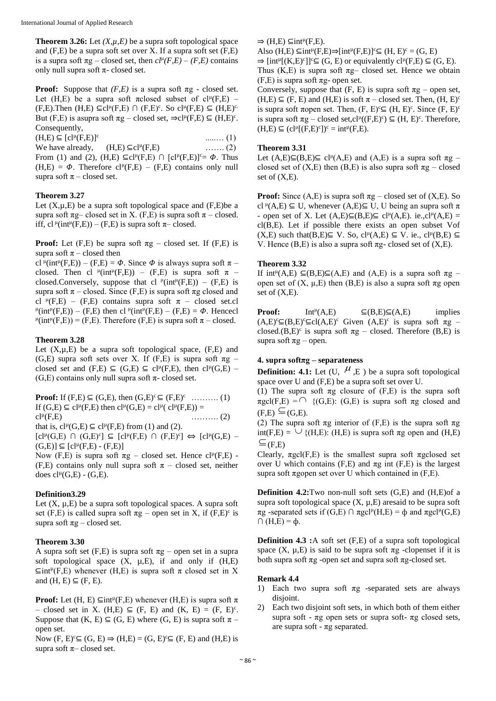**Theorem 3.26:** Let  $(X, \mu, E)$  be a supra soft topological space and (F,E) be a supra soft set over X. If a supra soft set (F,E) is a supra soft  $\pi g$  – closed set, then  $cl^{\mu}(F,E)$  –  $(F,E)$  contains only null supra soft  $\pi$ - closed set.

**Proof:** Suppose that  $(F.E)$  is a supra soft  $\pi g$  - closed set. Let  $(H,E)$  be a supra soft  $\pi$ closed subset of cl<sup> $\mu$ </sup>(F,E) –  $(F,E)$ . Then  $(H,E) \subseteq cl^{\mu}(F,E) \cap (F,E)^{c}$ . So  $cl^{\mu}(F,E) \subseteq (H,E)^{c}$ . But (F,E) is asupra soft  $\pi g$  – closed set,  $\Rightarrow c l^{\mu}(F,E) \subseteq (H,E)^c$ . Consequently,

 $(H,E) \subseteq [c]^{\mu}(F,E)]^c$ .....… (1) We have already,  $(H.E) \subseteq cl^{\mu}(F.E)$  $\ldots$  (2) From (1) and (2),  $(H,E) \subseteq cl^{\mu}(F,E) \cap [cl^{\mu}(F,E)]^c = \Phi$ . Thus  $(H,E) = \Phi$ . Therefore  $cl^{\mu}(F,E) - (F,E)$  contains only null supra soft  $\pi$  – closed set.

## **Theorem 3.27**

Let  $(X, \mu, E)$  be a supra soft topological space and  $(F, E)$  be a supra soft  $\pi$ g– closed set in X. (F,E) is supra soft  $\pi$  – closed. iff, cl<sup>µ</sup>(int<sup>µ</sup>(F,E)) – (F,E) is supra soft  $\pi$ – closed.

**Proof:** Let  $(F,E)$  be supra soft  $\pi g$  – closed set. If  $(F,E)$  is supra soft  $\pi$  – closed then

cl  $\lvert \mu(int \mu(F,E)) - (F,E) = \Phi$ . Since  $\Phi$  is always supra soft  $\pi$  – closed. Then cl  $\mu$ (int<sup> $\mu$ </sup>(F,E)) – (F,E) is supra soft  $\pi$  – closed. Conversely, suppose that cl  $\mu(int^{\mu}(F,E)) - (F,E)$  is supra soft  $\pi$  – closed. Since (F,E) is supra soft  $\pi$ g closed and cl  $^{\mu}(F,E)$  – (F,E) contains supra soft  $\pi$  – closed set.cl  $\mu$ (int<sup> $\mu$ </sup>(F,E)) – (F,E) then cl  $\mu$ (int<sup> $\mu$ </sup>(F,E) – (F,E) =  $\Phi$ . Hencecl  $\mu$ (int<sup> $\mu$ </sup>(F,E)) = (F,E). Therefore (F,E) is supra soft  $\pi$  – closed.

## **Theorem 3.28**

Let  $(X,\mu,E)$  be a supra soft topological space,  $(F,E)$  and (G,E) supra soft sets over X. If (F,E) is supra soft  $\pi$ g – closed set and  $(F,E) \subseteq (G,E) \subseteq cl^{\mu}(F,E)$ , then  $cl^{\mu}(G,E)$  – (G,E) contains only null supra soft  $\pi$ - closed set.

**Proof:** If  $(F,E) \subseteq (G,E)$ , then  $(G,E)^c \subseteq (F,E)^c$  ……….. (1) If  $(G,E) \subseteq cl^{\mu}(F,E)$  then  $cl^{\mu}(G,E) = cl^{\mu}(cl^{\mu}(F,E)) =$  $cl^{\mu}(F,E)$ (F,E) ………. (2) that is,  $cl^{\mu}(G,E) \subseteq cl^{\mu}(F,E)$  from (1) and (2).  $[cl^{\mu}(G,E) \cap (G,E)^{c}] \subseteq [cl^{\mu}(F,E) \cap (F,E)^{c}] \Leftrightarrow [cl^{\mu}(G,E) -$ 

 $(G,E)]$  ⊆ [cl<sup>µ</sup>(F,E) - (F,E)] Now  $(F, E)$  is supra soft  $\pi g$  – closed set. Hence cl<sup>µ</sup>(F,E) -(F,E) contains only null supra soft  $\pi$  – closed set, neither does  $cl^{\mu}(G,E)$  -  $(G,E)$ .

## **Definition3.29**

Let  $(X, \mu, E)$  be a supra soft topological spaces. A supra soft set  $(F, E)$  is called supra soft  $\pi g$  – open set in X, if  $(F, E)^c$  is supra soft  $\pi$ g – closed set.

## **Theorem 3.30**

A supra soft set  $(F,E)$  is supra soft  $\pi g$  – open set in a supra soft topological space  $(X, \mu, E)$ , if and only if  $(H,E)$  $\subseteq$ int<sup>µ</sup>(F,E) whenever (H,E) is supra soft  $\pi$  closed set in X and  $(H, E) \subseteq (F, E)$ .

**Proof:** Let  $(H, E) \subseteq int^{\mu}(F, E)$  whenever  $(H, E)$  is supra soft  $\pi$ – closed set in X. (H,E) ⊆ (F, E) and (K, E) = (F, E)<sup>c</sup>. Suppose that  $(K, E) \subseteq (G, E)$  where  $(G, E)$  is supra soft  $\pi$  – open set.

Now  $(F, E)^c \subseteq (G, E) \Rightarrow (H, E) = (G, E)^c \subseteq (F, E)$  and  $(H, E)$  is supra soft  $\pi$ – closed set.

 $\Rightarrow$  (H,E)  $\subseteq$ int<sup>µ</sup>(F,E).

Also  $(H,E) \subseteq int^{\mu}(F,E) \Rightarrow [int^{\mu}(F,E)]^c \subseteq (H, E)^c = (G, E)$ 

 $\Rightarrow$  [int<sup>µ</sup>[(K,E)<sup>c</sup>]]<sup>c</sup>⊆ (G, E) or equivalently cl<sup>µ</sup>(F,E) ⊆ (G, E).

Thus  $(K, E)$  is supra soft  $\pi g$ – closed set. Hence we obtain  $(F, E)$  is supra soft  $\pi g$ - open set.

Conversely, suppose that  $(F, E)$  is supra soft  $\pi g$  – open set,  $(H,E) \subseteq (F, E)$  and  $(H,E)$  is soft  $\pi$  – closed set. Then,  $(H, E)^c$ is supra soft  $\pi$ open set. Then,  $(F, E)^c \subseteq (H, E)^c$ . Since  $(F, E)^c$ is supra soft  $\pi g$  – closed set, cl<sup> $\mu$ </sup>((F,E)<sup>c</sup>)  $\subseteq$  (H, E)<sup>c</sup>. Therefore,  $(H,E) \subseteq (cl^{\mu}[(F,E)^c])^c = int^{\mu}(F,E).$ 

## **Theorem 3.31**

Let  $(A,E) \subseteq (B,E) \subseteq cl^{\mu}(A,E)$  and  $(A,E)$  is a supra soft  $\pi g$  – closed set of  $(X, E)$  then  $(B, E)$  is also supra soft  $\pi g$  – closed set of  $(X, E)$ .

**Proof:** Since  $(A, E)$  is supra soft  $\pi g$  – closed set of  $(X, E)$ . So cl  $\mu(A, E) \subseteq U$ , whenever  $(A, E) \subseteq U$ , U being an supra soft  $\pi$ - open set of X. Let  $(A,E) \subseteq (B,E) \subseteq cl^{\mu}(A,E)$ . ie., $cl^{\mu}(A,E) =$ cl(B,E). Let if possible there exists an open subset Vof  $(X, E)$  such that  $(B, E) \subseteq V$ . So, cl<sup> $\mu$ </sup> $(A, E) \subseteq V$ . ie., cl<sup> $\mu$ </sup> $(B, E) \subseteq$ V. Hence  $(B, E)$  is also a supra soft  $\pi g$ - closed set of  $(X, E)$ .

## **Theorem 3.32**

If  $int^{\mu}(A,E) \subseteq (B,E) \subseteq (A,E)$  and  $(A,E)$  is a supra soft  $\pi g$  – open set of  $(X, μ, E)$  then  $(B, E)$  is also a supra soft πg open set of  $(X,E)$ .

Proof: Int<sup>µ</sup>(A,E)  $\subseteq$ (B,E) $\subseteq$ (A,E) implies  $(A,E)^c \subseteq (B,E)^c \subseteq cl(A,E)^c$  Given  $(A,E)^c$  is supra soft  $\pi g$  – closed.(B,E)<sup>c</sup> is supra soft  $\pi$ g – closed. Therefore (B,E) is supra soft  $\pi$ g – open.

## **4. supra softπg – separateness**

**Definition: 4.1:** Let  $(U, \nightharpoonup^{\mathcal{U}} E)$  be a supra soft topological space over U and (F,E) be a supra soft set over U.

(1) The supra soft  $\pi g$  closure of  $(F,E)$  is the supra soft  $\pi \text{gcl}(F,E) = \bigcap \{(G,E): (G,E) \text{ is supra soft } \pi g \text{ closed and }$  $(F,E) \subseteq (G,E).$ 

(2) The supra soft  $\pi g$  interior of (F,E) is the supra soft  $\pi g$ int(F,E) =  $\cup$  {(H,E): (H,E) is supra soft πg open and (H,E)  $\subseteq$ <sub>(F,E)</sub>

Clearly,  $\pi$ gcl(F,E) is the smallest supra soft  $\pi$ gclosed set over U which contains (F,E) and πg int (F,E) is the largest supra soft  $\pi$ gopen set over U which contained in (F,E).

**Definition 4.2:**Two non-null soft sets (G,E) and (H,E)of a supra soft topological space  $(X, \mu, E)$  aresaid to be supra soft  $\pi$ g -separated sets if (G,E)  $\cap$   $\pi$ gcl<sup> $\mu$ </sup>(H,E) =  $\phi$  and  $\pi$ gcl<sup> $\mu$ </sup>(G,E)  $\cap$   $(H,E) = \phi$ .

**Definition 4.3 :**A soft set (F,E) of a supra soft topological space  $(X, \mu, E)$  is said to be supra soft  $\pi g$  -clopenset if it is both supra soft  $\pi$ g -open set and supra soft  $\pi$ g-closed set.

#### **Remark 4.4**

- 1) Each two supra soft  $\pi$ g -separated sets are always disioint.
- 2) Each two disjoint soft sets, in which both of them either supra soft -  $\pi$ g open sets or supra soft-  $\pi$ g closed sets, are supra soft -  $\pi$ g separated.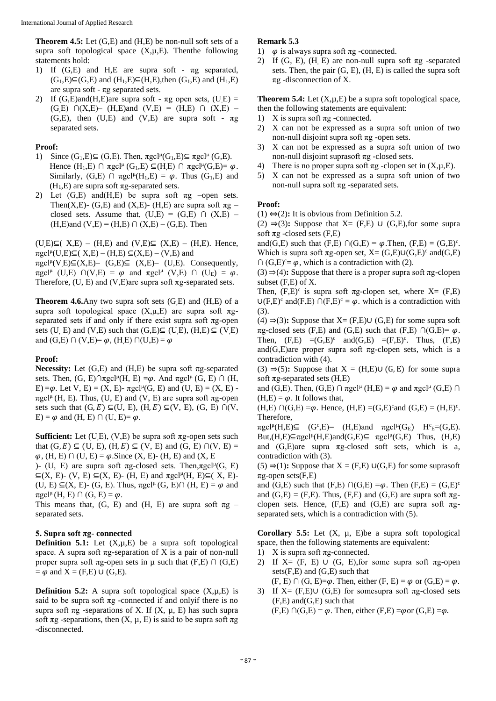**Theorem 4.5:** Let (G,E) and (H,E) be non-null soft sets of a supra soft topological space  $(X, \mu, E)$ . Then the following statements hold:

- 1) If  $(G,E)$  and H, E are supra soft  $\pi g$  separated,  $(G_1,E)\subseteq (G,E)$  and  $(H_1,E)\subseteq (H,E)$ ,then  $(G_1,E)$  and  $(H_1,E)$ are supra soft -  $\pi$ g separated sets.
- 2) If  $(G,E)$ and $(H,E)$ are supra soft πg open sets,  $(U,E)$  =  $(G, E)$  ∩(X,E)– (H,E)and (V,E) = (H,E) ∩ (X,E) – (G,E), then (U,E) and (V,E) are supra soft -  $\pi g$ separated sets.

## **Proof:**

- 1) Since  $(G_1,E) \subseteq (G,E)$ . Then,  $\pi \text{gcl}^{\mu}(G_1,E) \subseteq \pi \text{gcl}^{\mu}(G,E)$ . Hence  $(H_1, E)$   $\cap$   $\pi \text{gcl}^{\mu}$   $(G_1, E) \subseteq (H, E)$   $\cap$   $\pi \text{gcl}^{\mu}$  $(G, E) = \varphi$ . Similarly,  $(G,E)$   $\cap$   $\pi$ gcl<sup> $\mu$ </sup>(H<sub>1</sub>,E) =  $\varphi$ . Thus  $(G_1,E)$  and (H<sub>1</sub>,E) are supra soft  $\pi$ g-separated sets.
- 2) Let  $(G,E)$  and  $(H,E)$  be supra soft  $\pi g$  –open sets. Then(X,E)- (G,E) and (X,E)- (H,E) are supra soft  $\pi$ g – closed sets. Assume that,  $(U,E) = (G,E) \cap (X,E)$  –  $(H,E)$ and  $(V,E) = (H,E) \cap (X,E) - (G,E)$ . Then

 $(U,E)\subseteq (X,E) - (H,E)$  and  $(V,E)\subseteq (X,E) - (H,E)$ . Hence,  $\pi$ gcl<sup> $\mu$ </sup>(U,E)⊆(X,E) – (H,E) ⊆(X,E) – (V,E) and

 $\pi \text{gcl}^{\mu}(V, E) \subseteq (X, E) - (G, E) \subseteq (X, E) - (U, E)$ . Consequently,  $\pi \text{gcl}^{\mu}$  (U,E)  $\cap$  (V,E) =  $\varphi$  and  $\pi \text{gcl}^{\mu}$  (V,E)  $\cap$  (U<sub>E</sub>) =  $\varphi$ . Therefore,  $(U, E)$  and  $(V, E)$ are supra soft  $\pi$ g-separated sets.

**Theorem 4.6.**Any two supra soft sets (G<sub>E</sub>) and (H<sub>i</sub>E) of a supra soft topological space  $(X, \mu, E)$  are supra soft  $\pi$ gseparated sets if and only if there exist supra soft  $\pi$ g-open sets (U, E) and (V,E) such that  $(G,E) \subseteq (U,E), (H,E) \subseteq (V,E)$ and (G,E)  $\cap$  (V,E)=  $\varphi$ , (H,E)  $\cap$ (U,E) =  $\varphi$ 

## **Proof:**

**Necessity:** Let  $(G,E)$  and  $(H,E)$  be supra soft  $\pi g$ -separated sets. Then,  $(G, E) \cap \pi \text{gcl}^{\mu}(H, E) = \varphi$ . And  $\pi \text{gcl}^{\mu}(G, E) \cap (H, E)$ E) = $\varphi$ . Let V, E) = (X, E)-  $\pi$ gcl<sup> $\mu$ </sup>(G, E) and (U, E) = (X, E) - $\pi$ gcl<sup> $\mu$ </sup>(H, E). Thus, (U, E) and (V, E) are supra soft  $\pi$ g-open sets such that  $(G, E) \subseteq (U, E), (H, E) \subseteq (V, E), (G, E) \cap (V,$ E) =  $\varphi$  and (H, E)  $\cap$  (U, E)=  $\varphi$ .

**Sufficient:** Let  $(U,E)$ ,  $(V,E)$  be supra soft  $\pi$ g-open sets such that  $(G, E) \subseteq (U, E), (H, E) \subseteq (V, E)$  and  $(G, E) \cap (V, E) =$  $\varphi$ , (H, E)  $\cap$  (U, E) =  $\varphi$ . Since (X, E)- (H, E) and (X, E)

)- (U, E) are supra soft  $\pi$ g-closed sets. Then, $\pi$ gcl<sup>μ</sup>(G, E)  $\subseteq$ (X, E)- (V, E)  $\subseteq$ (X, E)- (H, E) and  $\pi$ gcl<sup>µ</sup>(H, E) $\subseteq$ (X, E)-(U, E)  $\subseteq$ (X, E)- (G, E). Thus,  $\pi$ gcl<sup> $\mu$ </sup> (G, E) $\cap$  (H, E) =  $\varphi$  and  $\pi \text{gcl}^{\mu}(\text{H}, \text{E}) \cap (\text{G}, \text{E}) = \varphi.$ 

This means that, (G, E) and (H, E) are supra soft  $\pi g$  – separated sets.

## **5. Supra soft πg- connected**

**Definition 5.1:** Let  $(X, \mu, E)$  be a supra soft topological space. A supra soft  $\pi$ g-separation of X is a pair of non-null proper supra soft πg-open sets in  $\mu$  such that (F,E)  $\cap$  (G,E)  $= \varphi$  and  $X = (F,E) \cup (G,E)$ .

**Definition 5.2:** A supra soft topological space  $(X, \mu, E)$  is said to be supra soft  $\pi$ g -connected if and only if there is no supra soft  $\pi$ g -separations of X. If (X,  $\mu$ , E) has such supra soft  $\pi$ g -separations, then  $(X, \mu, E)$  is said to be supra soft  $\pi$ g -disconnected.

## **Remark 5.3**

- 1)  $\varphi$  is always supra soft  $\pi$ g -connected.
- 2) If (G, E), (H, E) are non-null supra soft  $\pi$  are -separated sets. Then, the pair  $(G, E)$ ,  $(H, E)$  is called the supra soft  $\pi$ g -disconnection of X.

**Theorem 5.4:** Let  $(X, \mu, E)$  be a supra soft topological space, then the following statements are equivalent:

- 1) X is supra soft  $\pi$ g -connected.
- 2) X can not be expressed as a supra soft union of two non-null disjoint supra soft πg -open sets.
- 3) X can not be expressed as a supra soft union of two non-null disjoint suprasoft  $\pi$ g -closed sets.
- 4) There is no proper supra soft  $\pi$ g -clopen set in  $(X,\mu,E)$ .
- 5) X can not be expressed as a supra soft union of two non-null supra soft  $πg$  -separated sets.

#### **Proof:**

(1)  $\Leftrightarrow$  (2)**:** It is obvious from Definition 5.2.

(2)  $\Rightarrow$  (3)**:** Suppose that X= (F,E) ∪ (G,E), for some supra soft  $\pi$ g -closed sets (F.E)

and(G,E) such that (F,E)  $\cap$ (G,E) =  $\varphi$ .Then, (F,E) = (G,E)<sup>c</sup>. Which is supra soft  $\pi$ g-open set, X= (G,E) $\cup$ (G,E)<sup>c</sup> and(G,E)  $\cap$  (G,E)<sup>c</sup>=  $\varphi$ , which is a contradiction with (2).

 $(3) \Rightarrow (4)$ : Suppose that there is a proper supra soft  $\pi$ g-clopen subset (F,E) of X.

Then,  $(F,E)^c$  is supra soft  $\pi g$ -clopen set, where  $X = (F,E)$  $U(F,E)^c$  and $(F,E) \cap (F,E)^c = \varphi$ . which is a contradiction with (3).

(4)  $\Rightarrow$  (3)**:** Suppose that X= (F,E)∪ (G,E) for some supra soft πg-closed sets (F,E) and (G,E) such that (F,E)  $\bigcap$  (G,E)=  $\varphi$ . Then,  $(F,E) = (G,E)^c$  and  $(G,E) = (F,E)^c$ . Thus,  $(F,E)$ and( $G$ ,E)are proper supra soft  $\pi$ g-clopen sets, which is a contradiction with (4).

(3)  $\Rightarrow$ (5): Suppose that X = (H,E)∪ (G, E) for some supra soft  $\pi$ g-separated sets (H,E)

and (G,E). Then, (G,E)  $\cap \pi \text{gcl}^{\mu}$  (H,E) =  $\varphi$  and  $\pi \text{gcl}^{\mu}$  (G,E)  $\cap$  $(H,E) = \varphi$ . It follows that,

 $(H,E) \cap (G,E) = \varphi$ . Hence,  $(H,E) = (G,E)^c$  and  $(G,E) = (H,E)^c$ . Therefore,

 $\pi \text{gcl}^{\mu}(H,E) \subseteq (G^c,E) = (H,E)$ and  $\pi \text{gcl}^{\mu}(G_E) H^c \equiv (G,E).$ But,(H,E) $\subseteq \pi$ gcl<sup>µ</sup>(H,E)and(G,E) $\subseteq \pi$ gcl<sup>µ</sup>(G,E) Thus, (H,E) and  $(G,E)$ are supra  $\pi g$ -closed soft sets, which is a, contradiction with (3).

(5)  $\Rightarrow$ (1): Suppose that X = (F,E) ∪(G,E) for some suprasoft  $\pi$ g-open sets $(F,E)$ 

and (G,E) such that (F,E)  $\cap$ (G,E) = $\varphi$ . Then (F,E) = (G,E)<sup>c</sup> and  $(G,E) = (F,E)$ . Thus,  $(F,E)$  and  $(G,E)$  are supra soft  $\pi g$ clopen sets. Hence,  $(F,E)$  and  $(G,E)$  are supra soft  $\pi g$ separated sets, which is a contradiction with (5).

**Corollary 5.5:** Let  $(X, \mu, E)$ be a supra soft topological space, then the following statements are equivalent:

- 1) X is supra soft  $\pi$ g-connected.
- 2) If  $X = (F, E) \cup (G, E)$ , for some supra soft  $\pi g$ -open  $sets(F,E)$  and  $(G,E)$  such that
- $(F, E) \cap (G, E)=\varphi$ . Then, either  $(F, E) = \varphi$  or  $(G, E) = \varphi$ .
- 3) If  $X=$  (F,E)∪ (G,E) for some supra soft  $\pi$ g-closed sets  $(F,E)$  and  $(G,E)$  such that  $(F,E) \cap (G,E) = \varphi$ . Then, either  $(F,E) = \varphi$  or  $(G,E) = \varphi$ .